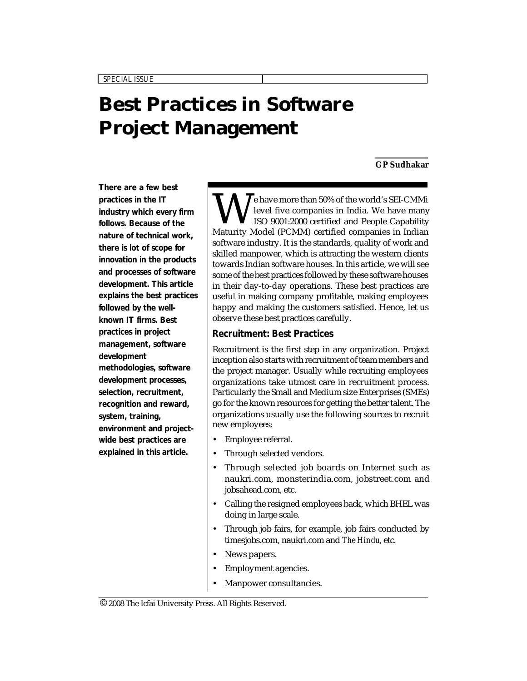# **Best Practices in Software Project Management**

#### **GP Sudhakar**

*SPECIAL ISSUE*

**There are a few best practices in the IT industry which every firm follows. Because of the nature of technical work, there is lot of scope for innovation in the products and processes of software development. This article explains the best practices followed by the wellknown IT firms. Best practices in project management, software development methodologies, software development processes, selection, recruitment, recognition and reward, system, training, environment and projectwide best practices are explained in this article.**

We have more than 50% of the world's SEI-CMMi level five companies in India. We have many ISO 9001:2000 certified and People Capability Maturity Model (PCMM) certified companies in Indian e have more than 50% of the world's SEI-CMMi level five companies in India. We have many ISO 9001:2000 certified and People Capability software industry. It is the standards, quality of work and skilled manpower, which is attracting the western clients towards Indian software houses. In this article, we will see some of the best practices followed by these software houses in their day-to-day operations. These best practices are useful in making company profitable, making employees happy and making the customers satisfied. Hence, let us observe these best practices carefully.

# **Recruitment: Best Practices**

Recruitment is the first step in any organization. Project inception also starts with recruitment of team members and the project manager. Usually while recruiting employees organizations take utmost care in recruitment process. Particularly the Small and Medium size Enterprises (SMEs) go for the known resources for getting the better talent. The organizations usually use the following sources to recruit new employees:

- Employee referral.
- Through selected vendors.
- Through selected job boards on Internet such as naukri.com, monsterindia.com, jobstreet.com and jobsahead.com, etc.
- Calling the resigned employees back, which BHEL was doing in large scale.
- Through job fairs, for example, job fairs conducted by timesjobs.com, naukri.com and *The Hindu*, etc.
- News papers.
- Employment agencies.
- Manpower consultancies.

 $^\copyright$  2008 The Icfai University Press. All Rights Reserved.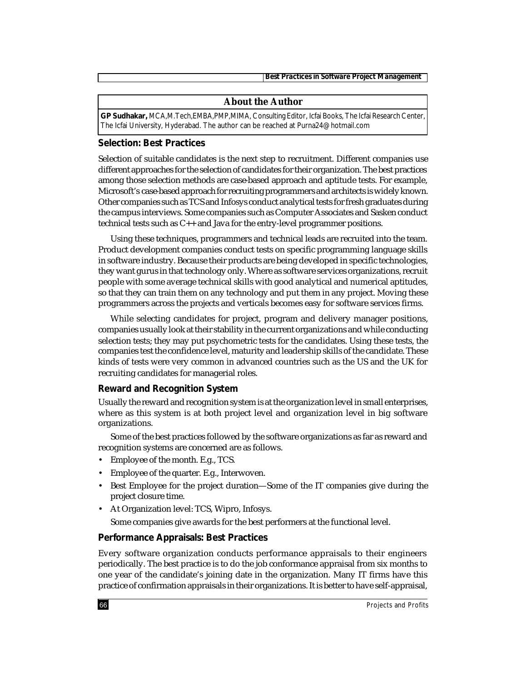*Best Practices in Software Project Management*

#### **About the Author**

**GP Sudhakar,** MCA,M.Tech,EMBA,PMP,MIMA, Consulting Editor, Icfai Books, The Icfai Research Center, The Icfai University, Hyderabad. The author can be reached at Purna24@hotmail.com

#### **Selection: Best Practices**

Selection of suitable candidates is the next step to recruitment. Different companies use different approaches for the selection of candidates for their organization. The best practices among those selection methods are case-based approach and aptitude tests. For example, Microsoft's case-based approach for recruiting programmers and architects is widely known. Other companies such as TCS and Infosys conduct analytical tests for fresh graduates during the campus interviews. Some companies such as Computer Associates and Sasken conduct technical tests such as C++ and Java for the entry-level programmer positions.

Using these techniques, programmers and technical leads are recruited into the team. Product development companies conduct tests on specific programming language skills in software industry. Because their products are being developed in specific technologies, they want gurus in that technology only. Where as software services organizations, recruit people with some average technical skills with good analytical and numerical aptitudes, so that they can train them on any technology and put them in any project. Moving these programmers across the projects and verticals becomes easy for software services firms.

While selecting candidates for project, program and delivery manager positions, companies usually look at their stability in the current organizations and while conducting selection tests; they may put psychometric tests for the candidates. Using these tests, the companies test the confidence level, maturity and leadership skills of the candidate. These kinds of tests were very common in advanced countries such as the US and the UK for recruiting candidates for managerial roles.

#### **Reward and Recognition System**

Usually the reward and recognition system is at the organization level in small enterprises, where as this system is at both project level and organization level in big software organizations.

Some of the best practices followed by the software organizations as far as reward and recognition systems are concerned are as follows.

- Employee of the month. E.g., TCS.
- Employee of the quarter. E.g., Interwoven.
- Best Employee for the project duration—Some of the IT companies give during the project closure time.
- At Organization level: TCS, Wipro, Infosys.

Some companies give awards for the best performers at the functional level.

#### **Performance Appraisals: Best Practices**

Every software organization conducts performance appraisals to their engineers periodically. The best practice is to do the job conformance appraisal from six months to one year of the candidate's joining date in the organization. Many IT firms have this practice of confirmation appraisals in their organizations. It is better to have self-appraisal,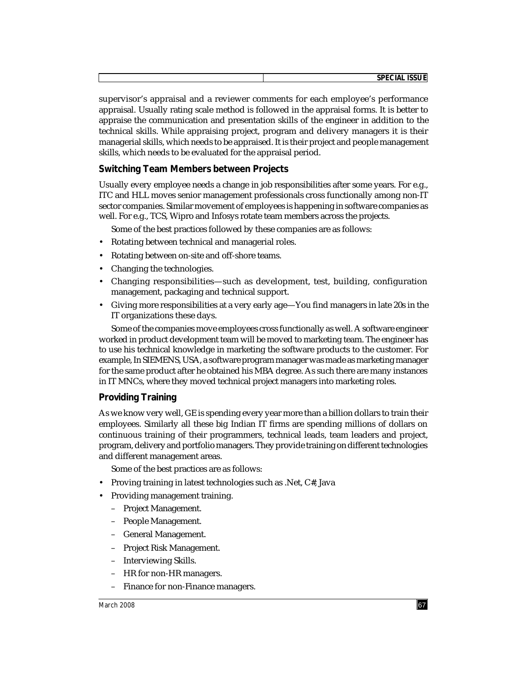| CDECIAL ICC<br>- --<br>. JI<br> |  |
|---------------------------------|--|
|                                 |  |

supervisor's appraisal and a reviewer comments for each employee's performance appraisal. Usually rating scale method is followed in the appraisal forms. It is better to appraise the communication and presentation skills of the engineer in addition to the technical skills. While appraising project, program and delivery managers it is their managerial skills, which needs to be appraised. It is their project and people management skills, which needs to be evaluated for the appraisal period.

# **Switching Team Members between Projects**

Usually every employee needs a change in job responsibilities after some years. For e.g., ITC and HLL moves senior management professionals cross functionally among non-IT sector companies. Similar movement of employees is happening in software companies as well. For e.g., TCS, Wipro and Infosys rotate team members across the projects.

Some of the best practices followed by these companies are as follows:

- Rotating between technical and managerial roles.
- Rotating between on-site and off-shore teams.
- Changing the technologies.
- Changing responsibilities—such as development, test, building, configuration management, packaging and technical support.
- Giving more responsibilities at a very early age—You find managers in late 20s in the IT organizations these days.

Some of the companies move employees cross functionally as well. A software engineer worked in product development team will be moved to marketing team. The engineer has to use his technical knowledge in marketing the software products to the customer. For example, In SIEMENS, USA, a software program manager was made as marketing manager for the same product after he obtained his MBA degree. As such there are many instances in IT MNCs, where they moved technical project managers into marketing roles.

# **Providing Training**

As we know very well, GE is spending every year more than a billion dollars to train their employees. Similarly all these big Indian IT firms are spending millions of dollars on continuous training of their programmers, technical leads, team leaders and project, program, delivery and portfolio managers. They provide training on different technologies and different management areas.

Some of the best practices are as follows:

- Proving training in latest technologies such as .Net, C#, Java
- Providing management training.
	- Project Management.
	- People Management.
	- General Management.
	- Project Risk Management.
	- Interviewing Skills.
	- HR for non-HR managers.
	- Finance for non-Finance managers.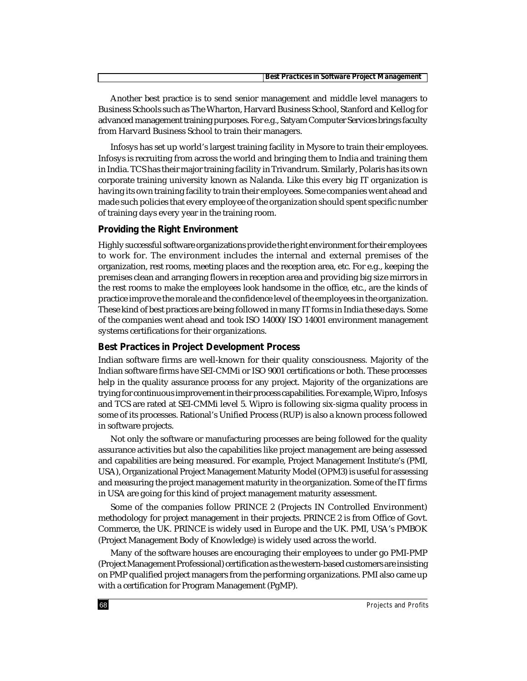Another best practice is to send senior management and middle level managers to Business Schools such as The Wharton, Harvard Business School, Stanford and Kellog for advanced management training purposes. For e.g., Satyam Computer Services brings faculty from Harvard Business School to train their managers.

Infosys has set up world's largest training facility in Mysore to train their employees. Infosys is recruiting from across the world and bringing them to India and training them in India. TCS has their major training facility in Trivandrum. Similarly, Polaris has its own corporate training university known as Nalanda. Like this every big IT organization is having its own training facility to train their employees. Some companies went ahead and made such policies that every employee of the organization should spent specific number of training days every year in the training room.

#### **Providing the Right Environment**

Highly successful software organizations provide the right environment for their employees to work for. The environment includes the internal and external premises of the organization, rest rooms, meeting places and the reception area, etc. For e.g., keeping the premises clean and arranging flowers in reception area and providing big size mirrors in the rest rooms to make the employees look handsome in the office, etc., are the kinds of practice improve the morale and the confidence level of the employees in the organization. These kind of best practices are being followed in many IT forms in India these days. Some of the companies went ahead and took ISO 14000/ISO 14001 environment management systems certifications for their organizations.

#### **Best Practices in Project Development Process**

Indian software firms are well-known for their quality consciousness. Majority of the Indian software firms have SEI-CMMi or ISO 9001 certifications or both. These processes help in the quality assurance process for any project. Majority of the organizations are trying for continuous improvement in their process capabilities. For example, Wipro, Infosys and TCS are rated at SEI-CMMi level 5. Wipro is following six-sigma quality process in some of its processes. Rational's Unified Process (RUP) is also a known process followed in software projects.

Not only the software or manufacturing processes are being followed for the quality assurance activities but also the capabilities like project management are being assessed and capabilities are being measured. For example, Project Management Institute's (PMI, USA), Organizational Project Management Maturity Model (OPM3) is useful for assessing and measuring the project management maturity in the organization. Some of the IT firms in USA are going for this kind of project management maturity assessment.

Some of the companies follow PRINCE 2 (Projects IN Controlled Environment) methodology for project management in their projects. PRINCE 2 is from Office of Govt. Commerce, the UK. PRINCE is widely used in Europe and the UK. PMI, USA's PMBOK (Project Management Body of Knowledge) is widely used across the world.

Many of the software houses are encouraging their employees to under go PMI-PMP (Project Management Professional) certification as the western-based customers are insisting on PMP qualified project managers from the performing organizations. PMI also came up with a certification for Program Management (PgMP).